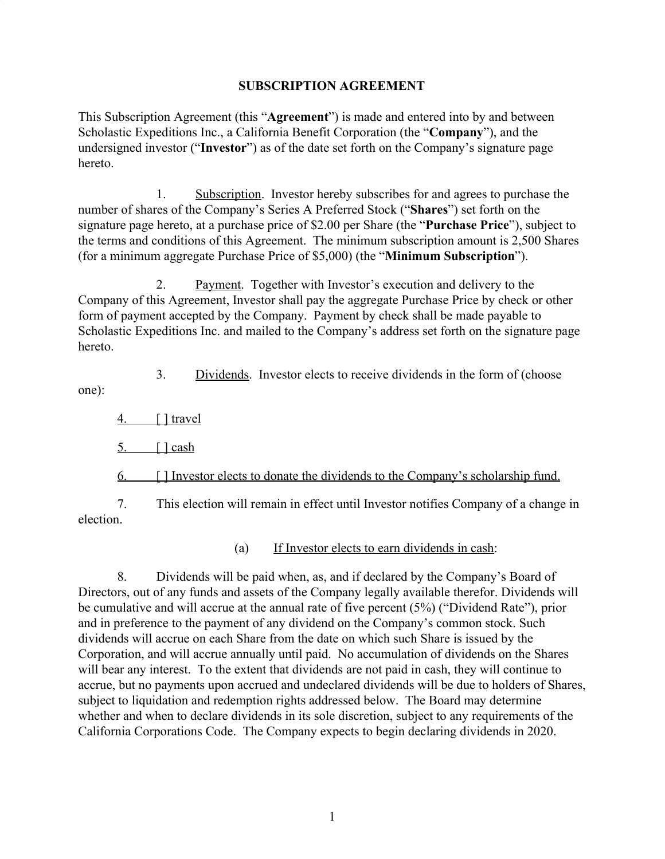#### **SUBSCRIPTION AGREEMENT**

This Subscription Agreement (this "**Agreement**") is made and entered into by and between Scholastic Expeditions Inc., a California Benefit Corporation (the "**Company**"), and the undersigned investor ("**Investor**") as of the date set forth on the Company's signature page hereto.

1. Subscription. Investor hereby subscribes for and agrees to purchase the number of shares of the Company's Series A Preferred Stock ("**Shares**") set forth on the signature page hereto, at a purchase price of \$2.00 per Share (the "**Purchase Price**"), subject to the terms and conditions of this Agreement. The minimum subscription amount is 2,500 Shares (for a minimum aggregate Purchase Price of \$5,000) (the "**Minimum Subscription**").

2. Payment. Together with Investor's execution and delivery to the Company of this Agreement, Investor shall pay the aggregate Purchase Price by check or other form of payment accepted by the Company. Payment by check shall be made payable to Scholastic Expeditions Inc. and mailed to the Company's address set forth on the signature page hereto.

one):

3. Dividends. Investor elects to receive dividends in the form of (choose

4. [ ] travel

 $5.$  [  $|$  cash

6. [ ] Investor elects to donate the dividends to the Company's scholarship fund.

7. This election will remain in effect until Investor notifies Company of a change in election.

(a) If Investor elects to earn dividends in cash:

8. Dividends will be paid when, as, and if declared by the Company's Board of Directors, out of any funds and assets of the Company legally available therefor. Dividends will be cumulative and will accrue at the annual rate of five percent (5%) ("Dividend Rate"), prior and in preference to the payment of any dividend on the Company's common stock. Such dividends will accrue on each Share from the date on which such Share is issued by the Corporation, and will accrue annually until paid. No accumulation of dividends on the Shares will bear any interest. To the extent that dividends are not paid in cash, they will continue to accrue, but no payments upon accrued and undeclared dividends will be due to holders of Shares, subject to liquidation and redemption rights addressed below. The Board may determine whether and when to declare dividends in its sole discretion, subject to any requirements of the California Corporations Code. The Company expects to begin declaring dividends in 2020.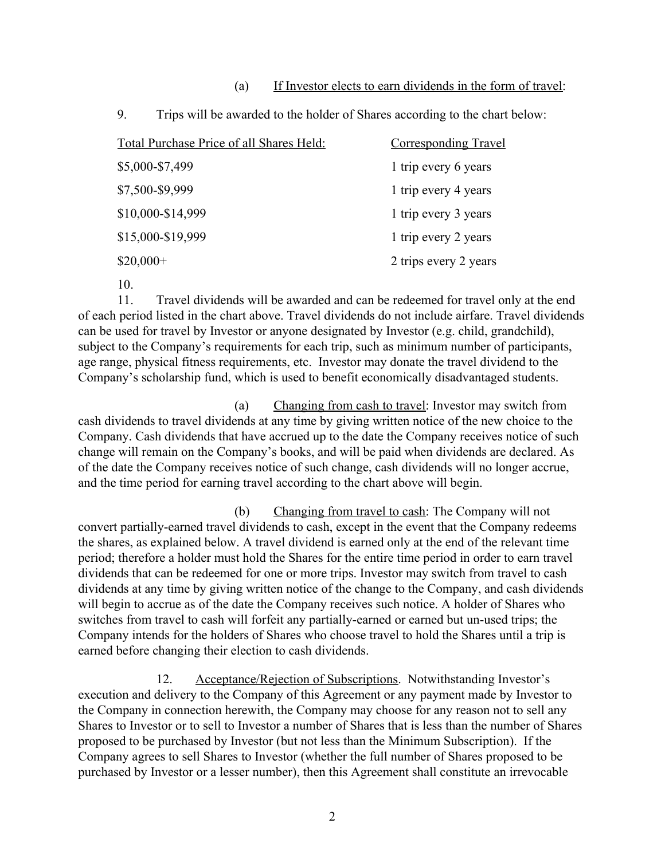#### (a) If Investor elects to earn dividends in the form of travel:

| フ.<br>Trips will be awarded to the holder of shares according to the chart be |                             |
|-------------------------------------------------------------------------------|-----------------------------|
| Total Purchase Price of all Shares Held:                                      | <b>Corresponding Travel</b> |
| \$5,000-\$7,499                                                               | 1 trip every 6 years        |
| \$7,500-\$9,999                                                               | 1 trip every 4 years        |
| \$10,000-\$14,999                                                             | 1 trip every 3 years        |
| \$15,000-\$19,999                                                             | 1 trip every 2 years        |
| $$20,000+$                                                                    | 2 trips every 2 years       |
|                                                                               |                             |

9. Trips will be awarded to the holder of Shares according to the chart below:

10.

11. Travel dividends will be awarded and can be redeemed for travel only at the end of each period listed in the chart above. Travel dividends do not include airfare. Travel dividends can be used for travel by Investor or anyone designated by Investor (e.g. child, grandchild), subject to the Company's requirements for each trip, such as minimum number of participants, age range, physical fitness requirements, etc. Investor may donate the travel dividend to the Company's scholarship fund, which is used to benefit economically disadvantaged students.

(a) Changing from cash to travel: Investor may switch from cash dividends to travel dividends at any time by giving written notice of the new choice to the Company. Cash dividends that have accrued up to the date the Company receives notice of such change will remain on the Company's books, and will be paid when dividends are declared. As of the date the Company receives notice of such change, cash dividends will no longer accrue, and the time period for earning travel according to the chart above will begin.

(b) Changing from travel to cash: The Company will not convert partially-earned travel dividends to cash, except in the event that the Company redeems the shares, as explained below. A travel dividend is earned only at the end of the relevant time period; therefore a holder must hold the Shares for the entire time period in order to earn travel dividends that can be redeemed for one or more trips. Investor may switch from travel to cash dividends at any time by giving written notice of the change to the Company, and cash dividends will begin to accrue as of the date the Company receives such notice. A holder of Shares who switches from travel to cash will forfeit any partially-earned or earned but un-used trips; the Company intends for the holders of Shares who choose travel to hold the Shares until a trip is earned before changing their election to cash dividends.

12. Acceptance/Rejection of Subscriptions. Notwithstanding Investor's execution and delivery to the Company of this Agreement or any payment made by Investor to the Company in connection herewith, the Company may choose for any reason not to sell any Shares to Investor or to sell to Investor a number of Shares that is less than the number of Shares proposed to be purchased by Investor (but not less than the Minimum Subscription). If the Company agrees to sell Shares to Investor (whether the full number of Shares proposed to be purchased by Investor or a lesser number), then this Agreement shall constitute an irrevocable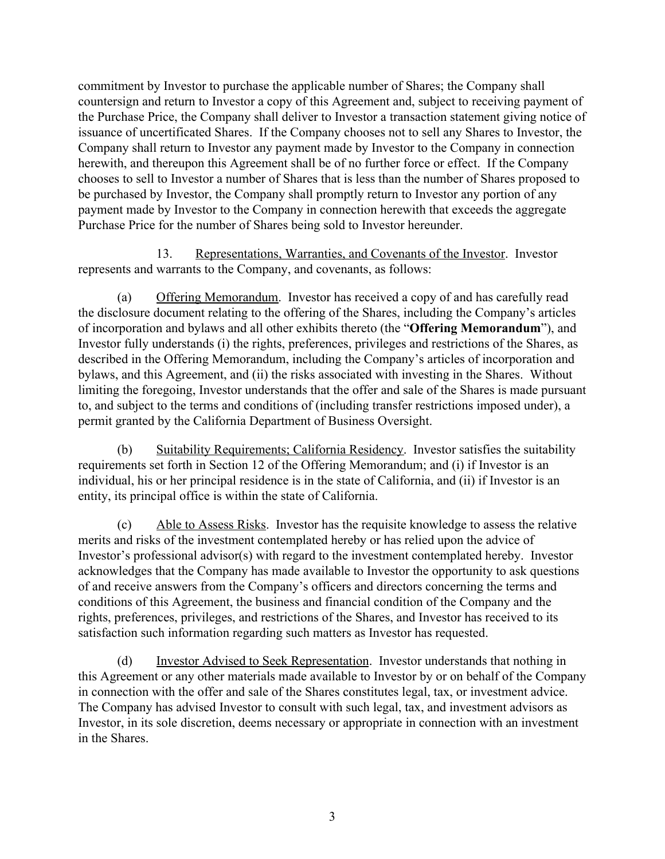commitment by Investor to purchase the applicable number of Shares; the Company shall countersign and return to Investor a copy of this Agreement and, subject to receiving payment of the Purchase Price, the Company shall deliver to Investor a transaction statement giving notice of issuance of uncertificated Shares. If the Company chooses not to sell any Shares to Investor, the Company shall return to Investor any payment made by Investor to the Company in connection herewith, and thereupon this Agreement shall be of no further force or effect. If the Company chooses to sell to Investor a number of Shares that is less than the number of Shares proposed to be purchased by Investor, the Company shall promptly return to Investor any portion of any payment made by Investor to the Company in connection herewith that exceeds the aggregate Purchase Price for the number of Shares being sold to Investor hereunder.

13. Representations, Warranties, and Covenants of the Investor. Investor represents and warrants to the Company, and covenants, as follows:

(a) Offering Memorandum. Investor has received a copy of and has carefully read the disclosure document relating to the offering of the Shares, including the Company's articles of incorporation and bylaws and all other exhibits thereto (the "**Offering Memorandum**"), and Investor fully understands (i) the rights, preferences, privileges and restrictions of the Shares, as described in the Offering Memorandum, including the Company's articles of incorporation and bylaws, and this Agreement, and (ii) the risks associated with investing in the Shares. Without limiting the foregoing, Investor understands that the offer and sale of the Shares is made pursuant to, and subject to the terms and conditions of (including transfer restrictions imposed under), a permit granted by the California Department of Business Oversight.

(b) Suitability Requirements; California Residency. Investor satisfies the suitability requirements set forth in Section 12 of the Offering Memorandum; and (i) if Investor is an individual, his or her principal residence is in the state of California, and (ii) if Investor is an entity, its principal office is within the state of California.

(c) Able to Assess Risks. Investor has the requisite knowledge to assess the relative merits and risks of the investment contemplated hereby or has relied upon the advice of Investor's professional advisor(s) with regard to the investment contemplated hereby. Investor acknowledges that the Company has made available to Investor the opportunity to ask questions of and receive answers from the Company's officers and directors concerning the terms and conditions of this Agreement, the business and financial condition of the Company and the rights, preferences, privileges, and restrictions of the Shares, and Investor has received to its satisfaction such information regarding such matters as Investor has requested.

(d) Investor Advised to Seek Representation. Investor understands that nothing in this Agreement or any other materials made available to Investor by or on behalf of the Company in connection with the offer and sale of the Shares constitutes legal, tax, or investment advice. The Company has advised Investor to consult with such legal, tax, and investment advisors as Investor, in its sole discretion, deems necessary or appropriate in connection with an investment in the Shares.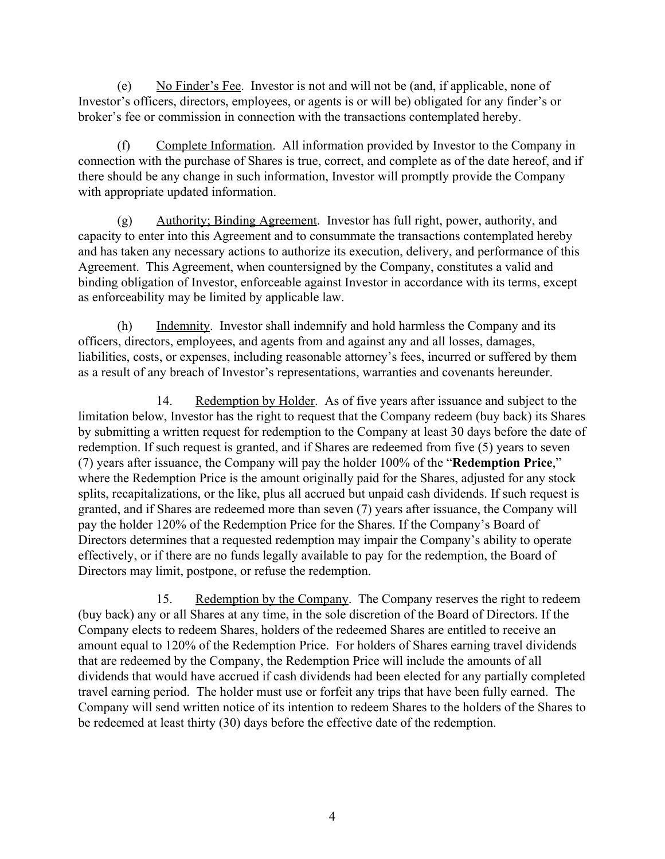(e) No Finder's Fee. Investor is not and will not be (and, if applicable, none of Investor's officers, directors, employees, or agents is or will be) obligated for any finder's or broker's fee or commission in connection with the transactions contemplated hereby.

(f) Complete Information. All information provided by Investor to the Company in connection with the purchase of Shares is true, correct, and complete as of the date hereof, and if there should be any change in such information, Investor will promptly provide the Company with appropriate updated information.

(g) Authority; Binding Agreement. Investor has full right, power, authority, and capacity to enter into this Agreement and to consummate the transactions contemplated hereby and has taken any necessary actions to authorize its execution, delivery, and performance of this Agreement. This Agreement, when countersigned by the Company, constitutes a valid and binding obligation of Investor, enforceable against Investor in accordance with its terms, except as enforceability may be limited by applicable law.

(h) Indemnity. Investor shall indemnify and hold harmless the Company and its officers, directors, employees, and agents from and against any and all losses, damages, liabilities, costs, or expenses, including reasonable attorney's fees, incurred or suffered by them as a result of any breach of Investor's representations, warranties and covenants hereunder.

14. Redemption by Holder. As of five years after issuance and subject to the limitation below, Investor has the right to request that the Company redeem (buy back) its Shares by submitting a written request for redemption to the Company at least 30 days before the date of redemption. If such request is granted, and if Shares are redeemed from five (5) years to seven (7) years after issuance, the Company will pay the holder 100% of the "**Redemption Price**," where the Redemption Price is the amount originally paid for the Shares, adjusted for any stock splits, recapitalizations, or the like, plus all accrued but unpaid cash dividends. If such request is granted, and if Shares are redeemed more than seven (7) years after issuance, the Company will pay the holder 120% of the Redemption Price for the Shares. If the Company's Board of Directors determines that a requested redemption may impair the Company's ability to operate effectively, or if there are no funds legally available to pay for the redemption, the Board of Directors may limit, postpone, or refuse the redemption.

15. Redemption by the Company. The Company reserves the right to redeem (buy back) any or all Shares at any time, in the sole discretion of the Board of Directors. If the Company elects to redeem Shares, holders of the redeemed Shares are entitled to receive an amount equal to 120% of the Redemption Price. For holders of Shares earning travel dividends that are redeemed by the Company, the Redemption Price will include the amounts of all dividends that would have accrued if cash dividends had been elected for any partially completed travel earning period. The holder must use or forfeit any trips that have been fully earned. The Company will send written notice of its intention to redeem Shares to the holders of the Shares to be redeemed at least thirty (30) days before the effective date of the redemption.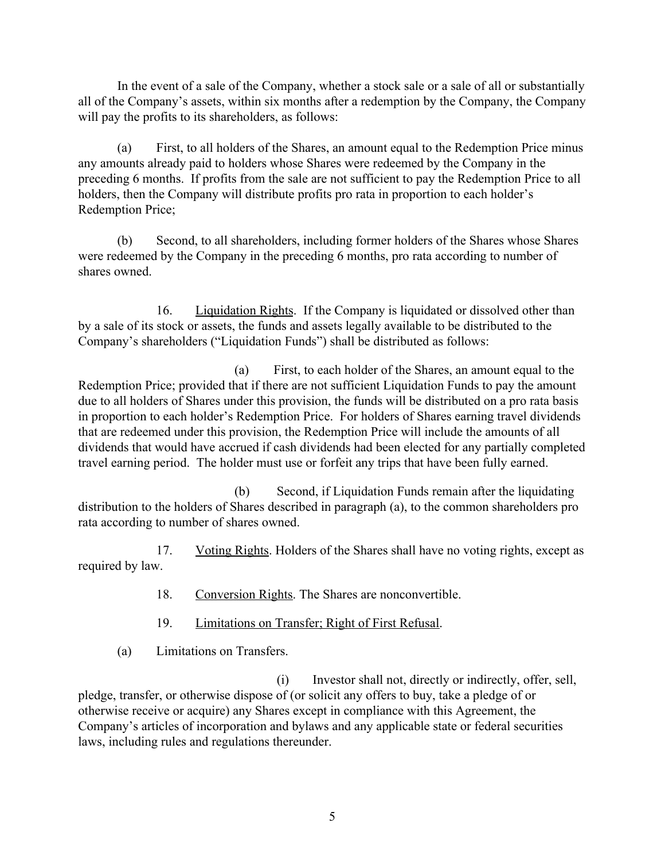In the event of a sale of the Company, whether a stock sale or a sale of all or substantially all of the Company's assets, within six months after a redemption by the Company, the Company will pay the profits to its shareholders, as follows:

(a) First, to all holders of the Shares, an amount equal to the Redemption Price minus any amounts already paid to holders whose Shares were redeemed by the Company in the preceding 6 months. If profits from the sale are not sufficient to pay the Redemption Price to all holders, then the Company will distribute profits pro rata in proportion to each holder's Redemption Price;

(b) Second, to all shareholders, including former holders of the Shares whose Shares were redeemed by the Company in the preceding 6 months, pro rata according to number of shares owned.

16. Liquidation Rights. If the Company is liquidated or dissolved other than by a sale of its stock or assets, the funds and assets legally available to be distributed to the Company's shareholders ("Liquidation Funds") shall be distributed as follows:

(a) First, to each holder of the Shares, an amount equal to the Redemption Price; provided that if there are not sufficient Liquidation Funds to pay the amount due to all holders of Shares under this provision, the funds will be distributed on a pro rata basis in proportion to each holder's Redemption Price. For holders of Shares earning travel dividends that are redeemed under this provision, the Redemption Price will include the amounts of all dividends that would have accrued if cash dividends had been elected for any partially completed travel earning period. The holder must use or forfeit any trips that have been fully earned.

(b) Second, if Liquidation Funds remain after the liquidating distribution to the holders of Shares described in paragraph (a), to the common shareholders pro rata according to number of shares owned.

17. Voting Rights. Holders of the Shares shall have no voting rights, except as required by law.

- 18. Conversion Rights. The Shares are nonconvertible.
- 19. Limitations on Transfer; Right of First Refusal.
- (a) Limitations on Transfers.

(i) Investor shall not, directly or indirectly, offer, sell, pledge, transfer, or otherwise dispose of (or solicit any offers to buy, take a pledge of or otherwise receive or acquire) any Shares except in compliance with this Agreement, the Company's articles of incorporation and bylaws and any applicable state or federal securities laws, including rules and regulations thereunder.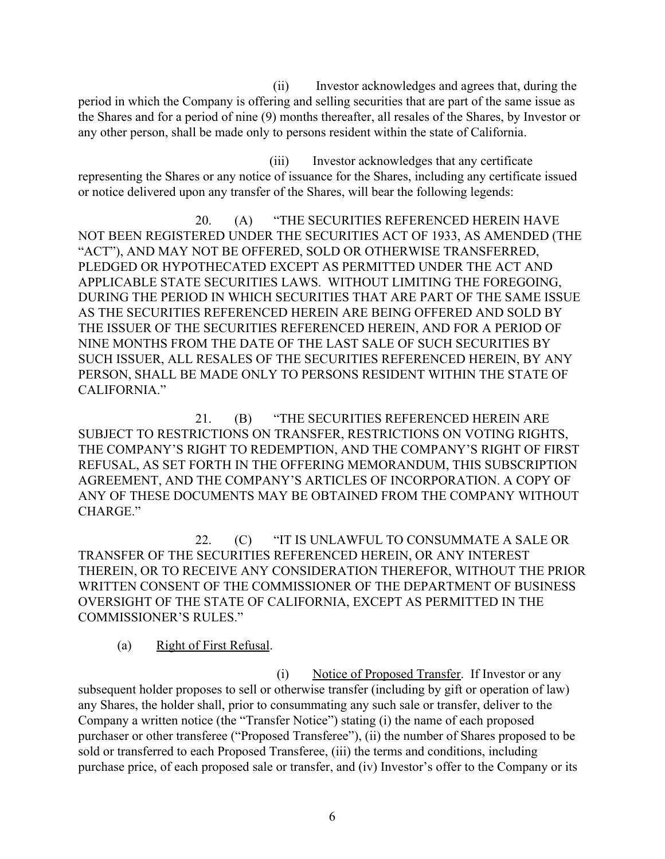(ii) Investor acknowledges and agrees that, during the period in which the Company is offering and selling securities that are part of the same issue as the Shares and for a period of nine (9) months thereafter, all resales of the Shares, by Investor or any other person, shall be made only to persons resident within the state of California.

(iii) Investor acknowledges that any certificate representing the Shares or any notice of issuance for the Shares, including any certificate issued or notice delivered upon any transfer of the Shares, will bear the following legends:

20. (A) "THE SECURITIES REFERENCED HEREIN HAVE NOT BEEN REGISTERED UNDER THE SECURITIES ACT OF 1933, AS AMENDED (THE "ACT"), AND MAY NOT BE OFFERED, SOLD OR OTHERWISE TRANSFERRED, PLEDGED OR HYPOTHECATED EXCEPT AS PERMITTED UNDER THE ACT AND APPLICABLE STATE SECURITIES LAWS. WITHOUT LIMITING THE FOREGOING, DURING THE PERIOD IN WHICH SECURITIES THAT ARE PART OF THE SAME ISSUE AS THE SECURITIES REFERENCED HEREIN ARE BEING OFFERED AND SOLD BY THE ISSUER OF THE SECURITIES REFERENCED HEREIN, AND FOR A PERIOD OF NINE MONTHS FROM THE DATE OF THE LAST SALE OF SUCH SECURITIES BY SUCH ISSUER, ALL RESALES OF THE SECURITIES REFERENCED HEREIN, BY ANY PERSON, SHALL BE MADE ONLY TO PERSONS RESIDENT WITHIN THE STATE OF CALIFORNIA."

21. (B) "THE SECURITIES REFERENCED HEREIN ARE SUBJECT TO RESTRICTIONS ON TRANSFER, RESTRICTIONS ON VOTING RIGHTS, THE COMPANY'S RIGHT TO REDEMPTION, AND THE COMPANY'S RIGHT OF FIRST REFUSAL, AS SET FORTH IN THE OFFERING MEMORANDUM, THIS SUBSCRIPTION AGREEMENT, AND THE COMPANY'S ARTICLES OF INCORPORATION. A COPY OF ANY OF THESE DOCUMENTS MAY BE OBTAINED FROM THE COMPANY WITHOUT CHARGE."

22. (C) "IT IS UNLAWFUL TO CONSUMMATE A SALE OR TRANSFER OF THE SECURITIES REFERENCED HEREIN, OR ANY INTEREST THEREIN, OR TO RECEIVE ANY CONSIDERATION THEREFOR, WITHOUT THE PRIOR WRITTEN CONSENT OF THE COMMISSIONER OF THE DEPARTMENT OF BUSINESS OVERSIGHT OF THE STATE OF CALIFORNIA, EXCEPT AS PERMITTED IN THE COMMISSIONER'S RULES."

(a) Right of First Refusal.

(i) Notice of Proposed Transfer. If Investor or any subsequent holder proposes to sell or otherwise transfer (including by gift or operation of law) any Shares, the holder shall, prior to consummating any such sale or transfer, deliver to the Company a written notice (the "Transfer Notice") stating (i) the name of each proposed purchaser or other transferee ("Proposed Transferee"), (ii) the number of Shares proposed to be sold or transferred to each Proposed Transferee, (iii) the terms and conditions, including purchase price, of each proposed sale or transfer, and (iv) Investor's offer to the Company or its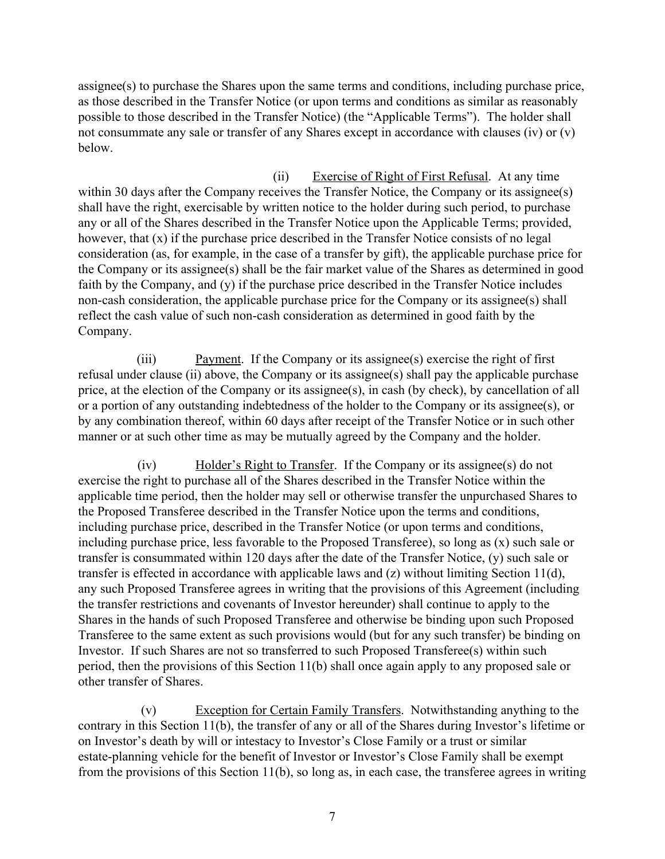assignee(s) to purchase the Shares upon the same terms and conditions, including purchase price, as those described in the Transfer Notice (or upon terms and conditions as similar as reasonably possible to those described in the Transfer Notice) (the "Applicable Terms"). The holder shall not consummate any sale or transfer of any Shares except in accordance with clauses (iv) or (v) below.

(ii) Exercise of Right of First Refusal. At any time within 30 days after the Company receives the Transfer Notice, the Company or its assignee(s) shall have the right, exercisable by written notice to the holder during such period, to purchase any or all of the Shares described in the Transfer Notice upon the Applicable Terms; provided, however, that (x) if the purchase price described in the Transfer Notice consists of no legal consideration (as, for example, in the case of a transfer by gift), the applicable purchase price for the Company or its assignee(s) shall be the fair market value of the Shares as determined in good faith by the Company, and (y) if the purchase price described in the Transfer Notice includes non-cash consideration, the applicable purchase price for the Company or its assignee(s) shall reflect the cash value of such non-cash consideration as determined in good faith by the Company.

(iii) Payment. If the Company or its assignee(s) exercise the right of first refusal under clause (ii) above, the Company or its assignee(s) shall pay the applicable purchase price, at the election of the Company or its assignee(s), in cash (by check), by cancellation of all or a portion of any outstanding indebtedness of the holder to the Company or its assignee(s), or by any combination thereof, within 60 days after receipt of the Transfer Notice or in such other manner or at such other time as may be mutually agreed by the Company and the holder.

(iv) Holder's Right to Transfer. If the Company or its assignee(s) do not exercise the right to purchase all of the Shares described in the Transfer Notice within the applicable time period, then the holder may sell or otherwise transfer the unpurchased Shares to the Proposed Transferee described in the Transfer Notice upon the terms and conditions, including purchase price, described in the Transfer Notice (or upon terms and conditions, including purchase price, less favorable to the Proposed Transferee), so long as (x) such sale or transfer is consummated within 120 days after the date of the Transfer Notice, (y) such sale or transfer is effected in accordance with applicable laws and (z) without limiting Section 11(d), any such Proposed Transferee agrees in writing that the provisions of this Agreement (including the transfer restrictions and covenants of Investor hereunder) shall continue to apply to the Shares in the hands of such Proposed Transferee and otherwise be binding upon such Proposed Transferee to the same extent as such provisions would (but for any such transfer) be binding on Investor. If such Shares are not so transferred to such Proposed Transferee(s) within such period, then the provisions of this Section 11(b) shall once again apply to any proposed sale or other transfer of Shares.

(v) Exception for Certain Family Transfers. Notwithstanding anything to the contrary in this Section 11(b), the transfer of any or all of the Shares during Investor's lifetime or on Investor's death by will or intestacy to Investor's Close Family or a trust or similar estate-planning vehicle for the benefit of Investor or Investor's Close Family shall be exempt from the provisions of this Section 11(b), so long as, in each case, the transferee agrees in writing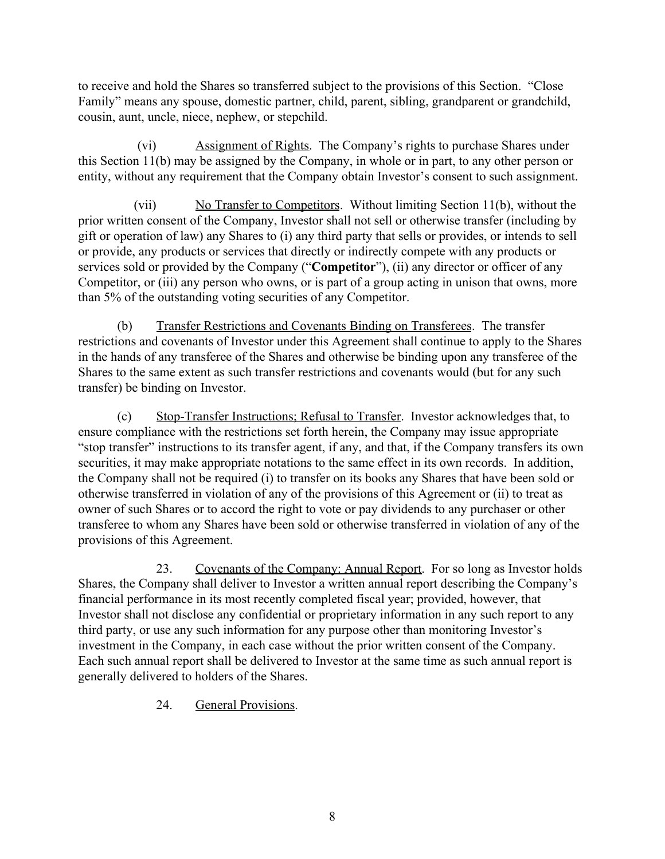to receive and hold the Shares so transferred subject to the provisions of this Section. "Close Family" means any spouse, domestic partner, child, parent, sibling, grandparent or grandchild, cousin, aunt, uncle, niece, nephew, or stepchild.

(vi) Assignment of Rights. The Company's rights to purchase Shares under this Section 11(b) may be assigned by the Company, in whole or in part, to any other person or entity, without any requirement that the Company obtain Investor's consent to such assignment.

(vii) No Transfer to Competitors. Without limiting Section 11(b), without the prior written consent of the Company, Investor shall not sell or otherwise transfer (including by gift or operation of law) any Shares to (i) any third party that sells or provides, or intends to sell or provide, any products or services that directly or indirectly compete with any products or services sold or provided by the Company ("**Competitor**"), (ii) any director or officer of any Competitor, or (iii) any person who owns, or is part of a group acting in unison that owns, more than 5% of the outstanding voting securities of any Competitor.

(b) Transfer Restrictions and Covenants Binding on Transferees. The transfer restrictions and covenants of Investor under this Agreement shall continue to apply to the Shares in the hands of any transferee of the Shares and otherwise be binding upon any transferee of the Shares to the same extent as such transfer restrictions and covenants would (but for any such transfer) be binding on Investor.

(c) Stop-Transfer Instructions; Refusal to Transfer. Investor acknowledges that, to ensure compliance with the restrictions set forth herein, the Company may issue appropriate "stop transfer" instructions to its transfer agent, if any, and that, if the Company transfers its own securities, it may make appropriate notations to the same effect in its own records. In addition, the Company shall not be required (i) to transfer on its books any Shares that have been sold or otherwise transferred in violation of any of the provisions of this Agreement or (ii) to treat as owner of such Shares or to accord the right to vote or pay dividends to any purchaser or other transferee to whom any Shares have been sold or otherwise transferred in violation of any of the provisions of this Agreement.

23. Covenants of the Company: Annual Report. For so long as Investor holds Shares, the Company shall deliver to Investor a written annual report describing the Company's financial performance in its most recently completed fiscal year; provided, however, that Investor shall not disclose any confidential or proprietary information in any such report to any third party, or use any such information for any purpose other than monitoring Investor's investment in the Company, in each case without the prior written consent of the Company. Each such annual report shall be delivered to Investor at the same time as such annual report is generally delivered to holders of the Shares.

24. General Provisions.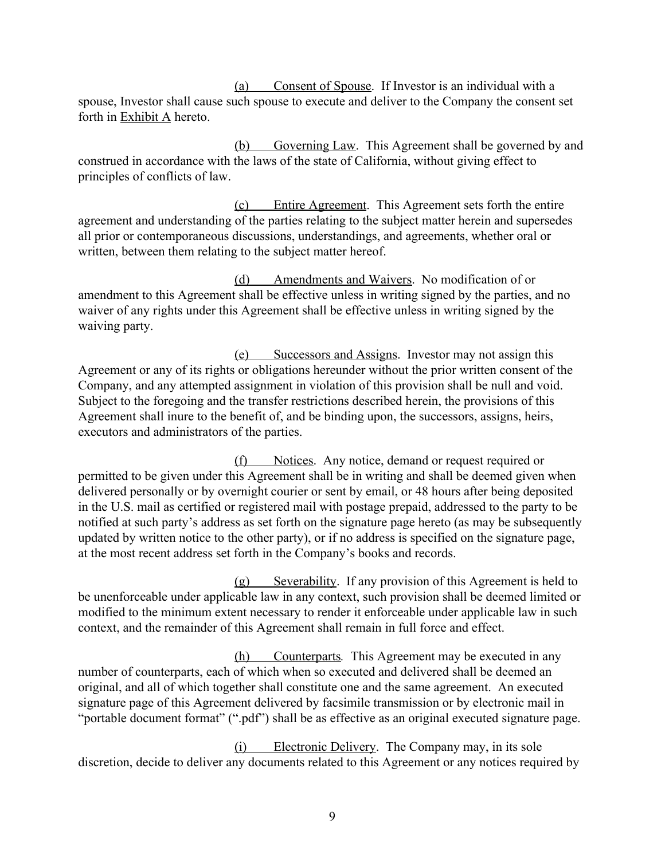(a) Consent of Spouse. If Investor is an individual with a spouse, Investor shall cause such spouse to execute and deliver to the Company the consent set forth in Exhibit A hereto.

(b) Governing Law. This Agreement shall be governed by and construed in accordance with the laws of the state of California, without giving effect to principles of conflicts of law.

(c) Entire Agreement. This Agreement sets forth the entire agreement and understanding of the parties relating to the subject matter herein and supersedes all prior or contemporaneous discussions, understandings, and agreements, whether oral or written, between them relating to the subject matter hereof.

(d) Amendments and Waivers. No modification of or amendment to this Agreement shall be effective unless in writing signed by the parties, and no waiver of any rights under this Agreement shall be effective unless in writing signed by the waiving party.

(e) Successors and Assigns. Investor may not assign this Agreement or any of its rights or obligations hereunder without the prior written consent of the Company, and any attempted assignment in violation of this provision shall be null and void. Subject to the foregoing and the transfer restrictions described herein, the provisions of this Agreement shall inure to the benefit of, and be binding upon, the successors, assigns, heirs, executors and administrators of the parties.

(f) Notices. Any notice, demand or request required or permitted to be given under this Agreement shall be in writing and shall be deemed given when delivered personally or by overnight courier or sent by email, or 48 hours after being deposited in the U.S. mail as certified or registered mail with postage prepaid, addressed to the party to be notified at such party's address as set forth on the signature page hereto (as may be subsequently updated by written notice to the other party), or if no address is specified on the signature page, at the most recent address set forth in the Company's books and records.

(g) Severability. If any provision of this Agreement is held to be unenforceable under applicable law in any context, such provision shall be deemed limited or modified to the minimum extent necessary to render it enforceable under applicable law in such context, and the remainder of this Agreement shall remain in full force and effect.

(h) Counterparts*.* This Agreement may be executed in any number of counterparts, each of which when so executed and delivered shall be deemed an original, and all of which together shall constitute one and the same agreement. An executed signature page of this Agreement delivered by facsimile transmission or by electronic mail in "portable document format" (".pdf") shall be as effective as an original executed signature page.

(i) Electronic Delivery. The Company may, in its sole discretion, decide to deliver any documents related to this Agreement or any notices required by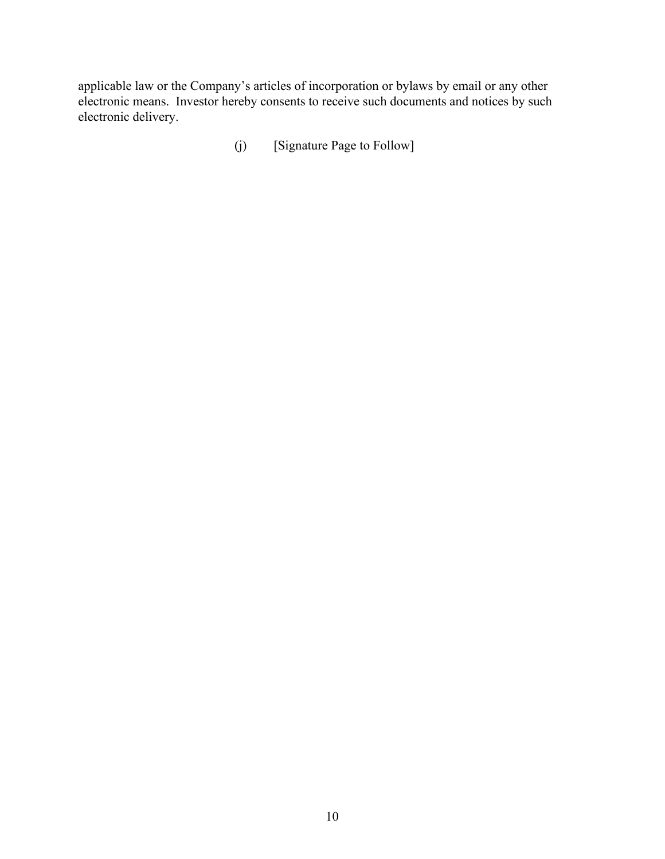applicable law or the Company's articles of incorporation or bylaws by email or any other electronic means. Investor hereby consents to receive such documents and notices by such electronic delivery.

(j) [Signature Page to Follow]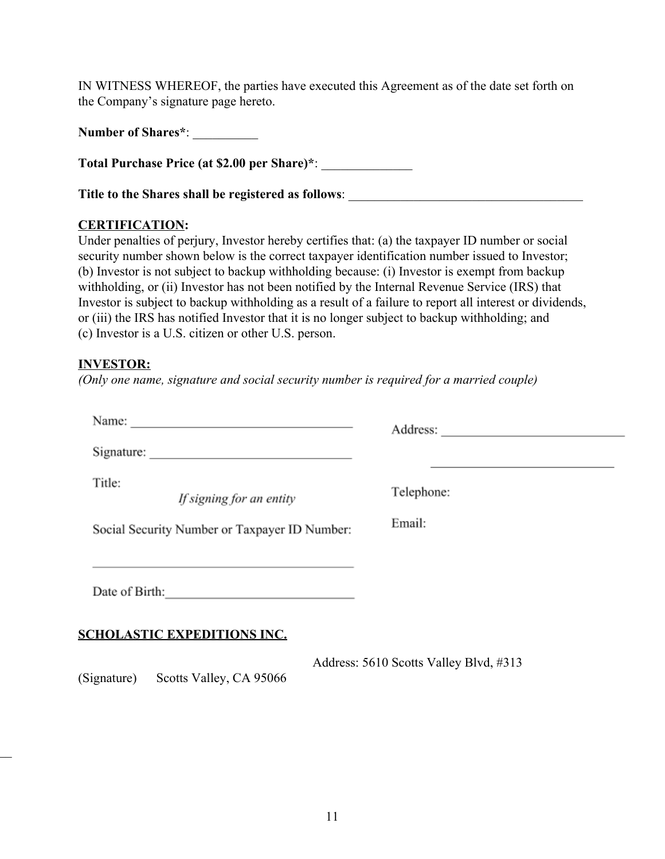IN WITNESS WHEREOF, the parties have executed this Agreement as of the date set forth on the Company's signature page hereto.

|  | <b>Number of Shares*:</b> |  |
|--|---------------------------|--|
|  |                           |  |

**Total Purchase Price (at \$2.00 per Share)\***: \_\_\_\_\_\_\_\_\_\_\_\_\_\_

**Title to the Shares shall be registered as follows**: \_\_\_\_\_\_\_\_\_\_\_\_\_\_\_\_\_\_\_\_\_\_\_\_\_\_\_\_\_\_\_\_\_\_\_\_

# **CERTIFICATION:**

Under penalties of perjury, Investor hereby certifies that: (a) the taxpayer ID number or social security number shown below is the correct taxpayer identification number issued to Investor; (b) Investor is not subject to backup withholding because: (i) Investor is exempt from backup withholding, or (ii) Investor has not been notified by the Internal Revenue Service (IRS) that Investor is subject to backup withholding as a result of a failure to report all interest or dividends, or (iii) the IRS has notified Investor that it is no longer subject to backup withholding; and (c) Investor is a U.S. citizen or other U.S. person.

# **INVESTOR:**

 $\overline{\phantom{a}}$ 

*(Only one name, signature and social security number is required for a married couple)*

| Name:                                                                                                       | Address:                                                                                                              |
|-------------------------------------------------------------------------------------------------------------|-----------------------------------------------------------------------------------------------------------------------|
|                                                                                                             | <u> 1989 - Johann Stein, marwolaethau a bhann an t-Amhain ann an t-Amhain an t-Amhain an t-Amhain an t-Amhain an </u> |
| Title:<br>If signing for an entity                                                                          | Telephone:                                                                                                            |
| Social Security Number or Taxpayer ID Number:                                                               | Email:                                                                                                                |
| the control of the control of the control of the control of the control of the control of<br>Date of Birth: |                                                                                                                       |
| <b>SCHOLASTIC EXPEDITIONS INC.</b>                                                                          |                                                                                                                       |
| (Signature)<br>Scotts Valley, CA 95066                                                                      | Address: 5610 Scotts Valley Blvd, #313                                                                                |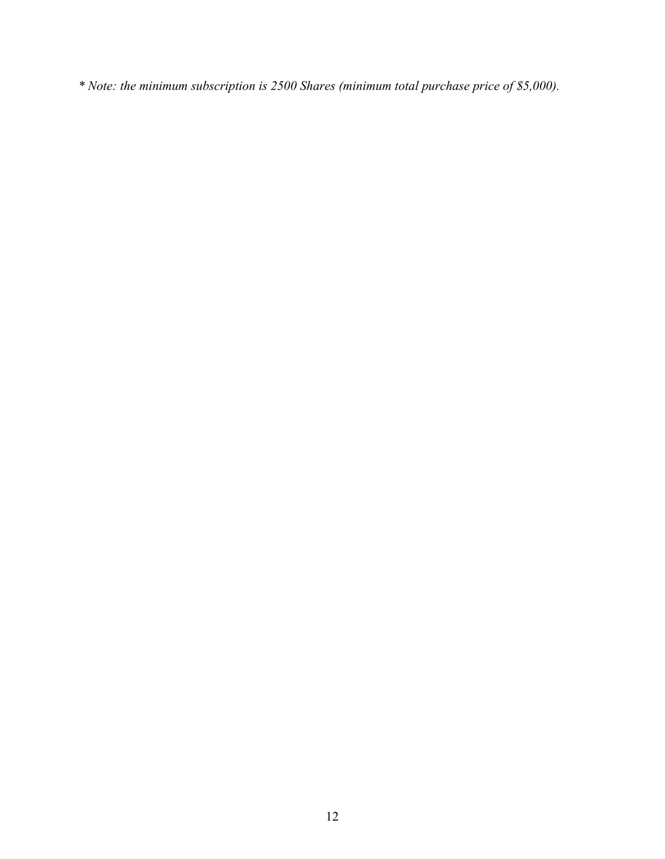*\* Note: the minimum subscription is 2500 Shares (minimum total purchase price of \$5,000).*